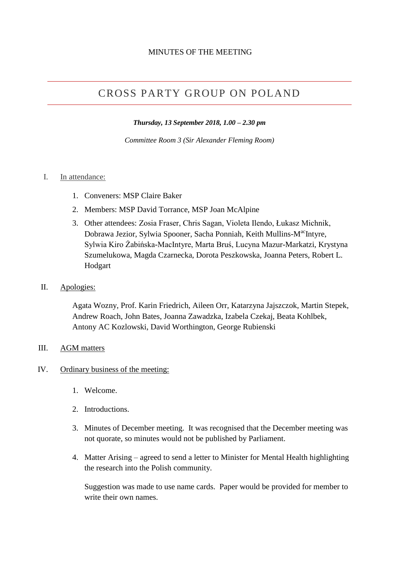# CROSS PARTY GROUP ON POLAND

*Thursday, 13 September 2018, 1.00 – 2.30 pm*

*Committee Room 3 (Sir Alexander Fleming Room)*

#### I. In attendance:

- 1. Conveners: MSP Claire Baker
- 2. Members: MSP David Torrance, MSP Joan McAlpine
- 3. Other attendees: Zosia Fraser, Chris Sagan, Violeta Ilendo, Łukasz Michnik, Dobrawa Jezior, Sylwia Spooner, Sacha Ponniah, Keith Mullins-M<sup>ac</sup>Intyre, Sylwia Kiro Żabińska-MacIntyre, Marta Bruś, Lucyna Mazur-Markatzi, Krystyna Szumelukowa, Magda Czarnecka, Dorota Peszkowska, Joanna Peters, Robert L. Hodgart
- II. Apologies:

Agata Wozny, Prof. Karin Friedrich, Aileen Orr, Katarzyna Jajszczok, Martin Stepek, Andrew Roach, John Bates, Joanna Zawadzka, Izabela Czekaj, Beata Kohlbek, Antony AC Kozlowski, David Worthington, George Rubienski

#### III. AGM matters

#### IV. Ordinary business of the meeting:

- 1. Welcome.
- 2. Introductions.
- 3. Minutes of December meeting. It was recognised that the December meeting was not quorate, so minutes would not be published by Parliament.
- 4. Matter Arising agreed to send a letter to Minister for Mental Health highlighting the research into the Polish community.

Suggestion was made to use name cards. Paper would be provided for member to write their own names.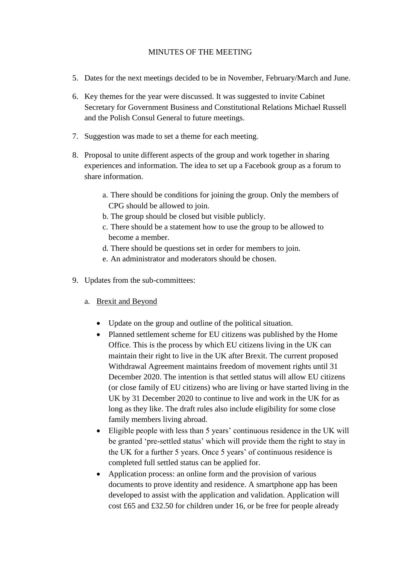- 5. Dates for the next meetings decided to be in November, February/March and June.
- 6. Key themes for the year were discussed. It was suggested to invite Cabinet Secretary for Government Business and Constitutional Relations Michael Russell and the Polish Consul General to future meetings.
- 7. Suggestion was made to set a theme for each meeting.
- 8. Proposal to unite different aspects of the group and work together in sharing experiences and information. The idea to set up a Facebook group as a forum to share information.
	- a. There should be conditions for joining the group. Only the members of CPG should be allowed to join.
	- b. The group should be closed but visible publicly.
	- c. There should be a statement how to use the group to be allowed to become a member.
	- d. There should be questions set in order for members to join.
	- e. An administrator and moderators should be chosen.
- 9. Updates from the sub-committees:
	- a. Brexit and Beyond
		- Update on the group and outline of the political situation.
		- Planned settlement scheme for EU citizens was published by the Home Office. This is the process by which EU citizens living in the UK can maintain their right to live in the UK after Brexit. The current proposed Withdrawal Agreement maintains freedom of movement rights until 31 December 2020. The intention is that settled status will allow EU citizens (or close family of EU citizens) who are living or have started living in the UK by 31 December 2020 to continue to live and work in the UK for as long as they like. The draft rules also include eligibility for some close family members living abroad.
		- Eligible people with less than 5 years' continuous residence in the UK will be granted 'pre-settled status' which will provide them the right to stay in the UK for a further 5 years. Once 5 years' of continuous residence is completed full settled status can be applied for.
		- Application process: an online form and the provision of various documents to prove identity and residence. A smartphone app has been developed to assist with the application and validation. Application will cost £65 and £32.50 for children under 16, or be free for people already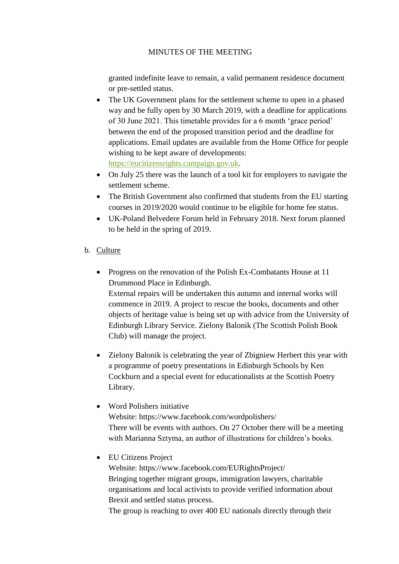granted indefinite leave to remain, a valid permanent residence document or pre-settled status.

- The UK Government plans for the settlement scheme to open in a phased way and be fully open by 30 March 2019, with a deadline for applications of 30 June 2021. This timetable provides for a 6 month 'grace period' between the end of the proposed transition period and the deadline for applications. Email updates are available from the Home Office for people wishing to be kept aware of developments: [https://eucitizensrights.campaign.gov.uk.](https://eucitizensrights.campaign.gov.uk/)
- On July 25 there was the launch of a tool kit for employers to navigate the settlement scheme.
- The British Government also confirmed that students from the EU starting courses in 2019/2020 would continue to be eligible for home fee status.
- UK-Poland Belvedere Forum held in February 2018. Next forum planned to be held in the spring of 2019.

# b. Culture

• Progress on the renovation of the Polish Ex-Combatants House at 11 Drummond Place in Edinburgh.

External repairs will be undertaken this autumn and internal works will commence in 2019. A project to rescue the books, documents and other objects of heritage value is being set up with advice from the University of Edinburgh Library Service. Zielony Balonik (The Scottish Polish Book Club) will manage the project.

• Zielony Balonik is celebrating the year of Zbigniew Herbert this year with a programme of poetry presentations in Edinburgh Schools by Ken Cockburn and a special event for educationalists at the Scottish Poetry Library.

## • Word Polishers initiative

Website: https://www.facebook.com/wordpolishers/ There will be events with authors. On 27 October there will be a meeting with Marianna Sztyma, an author of illustrations for children's books.

• EU Citizens Project

Website: https://www.facebook.com/EURightsProject/ Bringing together migrant groups, immigration lawyers, charitable organisations and local activists to provide verified information about Brexit and settled status process.

The group is reaching to over 400 EU nationals directly through their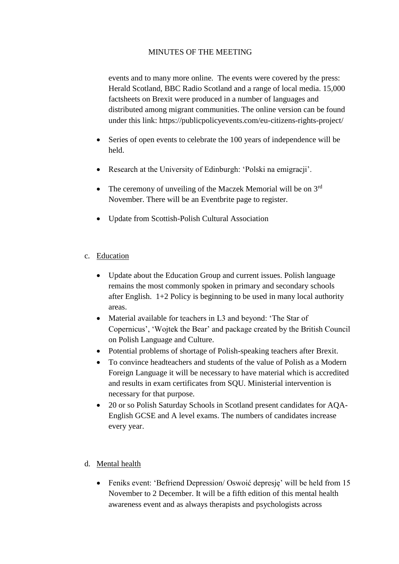events and to many more online. The events were covered by the press: Herald Scotland, BBC Radio Scotland and a range of local media. 15,000 factsheets on Brexit were produced in a number of languages and distributed among migrant communities. The online version can be found under this link: https://publicpolicyevents.com/eu-citizens-rights-project/

- Series of open events to celebrate the 100 years of independence will be held.
- Research at the University of Edinburgh: 'Polski na emigracji'.
- The ceremony of unveiling of the Maczek Memorial will be on  $3<sup>rd</sup>$ November. There will be an Eventbrite page to register.
- Update from Scottish-Polish Cultural Association
- c. Education
	- Update about the Education Group and current issues. Polish language remains the most commonly spoken in primary and secondary schools after English. 1+2 Policy is beginning to be used in many local authority areas.
	- Material available for teachers in L3 and beyond: 'The Star of Copernicus', 'Wojtek the Bear' and package created by the British Council on Polish Language and Culture.
	- Potential problems of shortage of Polish-speaking teachers after Brexit.
	- To convince headteachers and students of the value of Polish as a Modern Foreign Language it will be necessary to have material which is accredited and results in exam certificates from SQU. Ministerial intervention is necessary for that purpose.
	- 20 or so Polish Saturday Schools in Scotland present candidates for AQA-English GCSE and A level exams. The numbers of candidates increase every year.

## d. Mental health

• Feniks event: 'Befriend Depression/ Oswoić depresie' will be held from 15 November to 2 December. It will be a fifth edition of this mental health awareness event and as always therapists and psychologists across